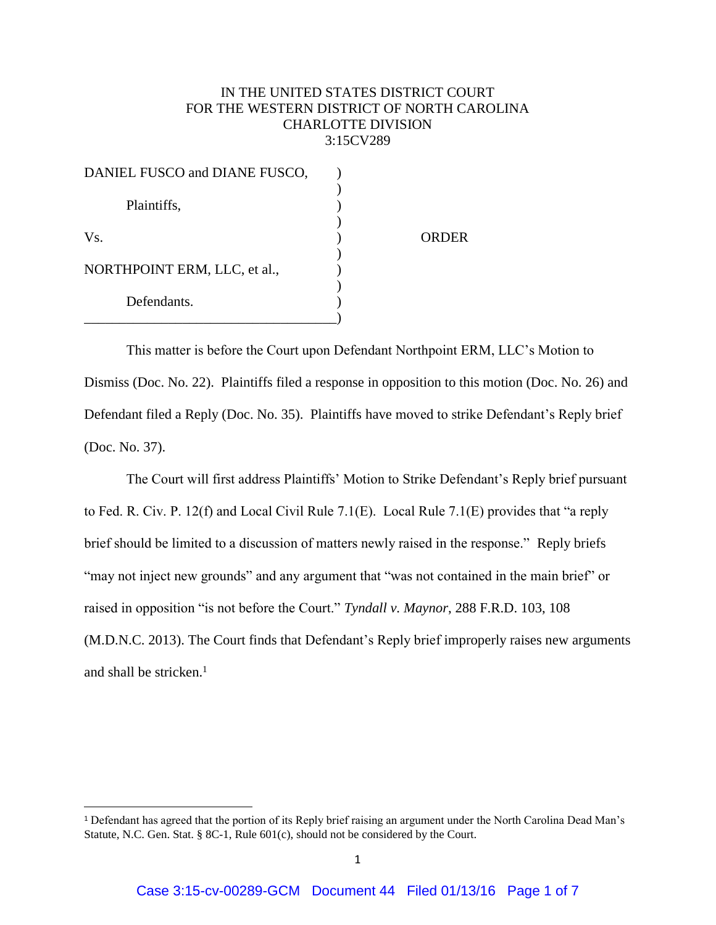## IN THE UNITED STATES DISTRICT COURT FOR THE WESTERN DISTRICT OF NORTH CAROLINA CHARLOTTE DIVISION 3:15CV289

| DANIEL FUSCO and DIANE FUSCO, |       |
|-------------------------------|-------|
| Plaintiffs,                   |       |
| Vs.                           | ORDER |
| NORTHPOINT ERM, LLC, et al.,  |       |
| Defendants.                   |       |

This matter is before the Court upon Defendant Northpoint ERM, LLC's Motion to Dismiss (Doc. No. 22). Plaintiffs filed a response in opposition to this motion (Doc. No. 26) and Defendant filed a Reply (Doc. No. 35). Plaintiffs have moved to strike Defendant's Reply brief (Doc. No. 37).

The Court will first address Plaintiffs' Motion to Strike Defendant's Reply brief pursuant to Fed. R. Civ. P. 12(f) and Local Civil Rule 7.1(E). Local Rule 7.1(E) provides that "a reply brief should be limited to a discussion of matters newly raised in the response." Reply briefs "may not inject new grounds" and any argument that "was not contained in the main brief" or raised in opposition "is not before the Court." *Tyndall v. Maynor*, 288 F.R.D. 103, 108 (M.D.N.C. 2013). The Court finds that Defendant's Reply brief improperly raises new arguments and shall be stricken. $<sup>1</sup>$ </sup>

l

<sup>1</sup> Defendant has agreed that the portion of its Reply brief raising an argument under the North Carolina Dead Man's Statute, N.C. Gen. Stat. § 8C-1, Rule 601(c), should not be considered by the Court.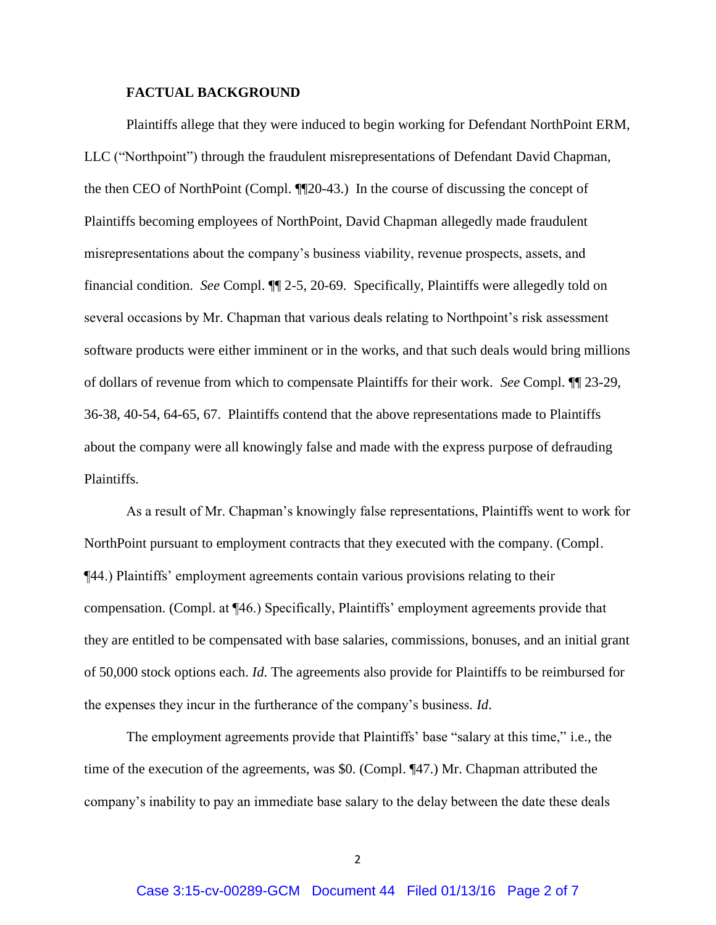## **FACTUAL BACKGROUND**

Plaintiffs allege that they were induced to begin working for Defendant NorthPoint ERM, LLC ("Northpoint") through the fraudulent misrepresentations of Defendant David Chapman, the then CEO of NorthPoint (Compl. ¶¶20-43.) In the course of discussing the concept of Plaintiffs becoming employees of NorthPoint, David Chapman allegedly made fraudulent misrepresentations about the company's business viability, revenue prospects, assets, and financial condition. *See* Compl. ¶¶ 2-5, 20-69. Specifically, Plaintiffs were allegedly told on several occasions by Mr. Chapman that various deals relating to Northpoint's risk assessment software products were either imminent or in the works, and that such deals would bring millions of dollars of revenue from which to compensate Plaintiffs for their work. *See* Compl. ¶¶ 23-29, 36-38, 40-54, 64-65, 67. Plaintiffs contend that the above representations made to Plaintiffs about the company were all knowingly false and made with the express purpose of defrauding Plaintiffs.

As a result of Mr. Chapman's knowingly false representations, Plaintiffs went to work for NorthPoint pursuant to employment contracts that they executed with the company. (Compl. ¶44.) Plaintiffs' employment agreements contain various provisions relating to their compensation. (Compl. at ¶46.) Specifically, Plaintiffs' employment agreements provide that they are entitled to be compensated with base salaries, commissions, bonuses, and an initial grant of 50,000 stock options each. *Id*. The agreements also provide for Plaintiffs to be reimbursed for the expenses they incur in the furtherance of the company's business. *Id*.

The employment agreements provide that Plaintiffs' base "salary at this time," i.e., the time of the execution of the agreements, was \$0. (Compl. ¶47.) Mr. Chapman attributed the company's inability to pay an immediate base salary to the delay between the date these deals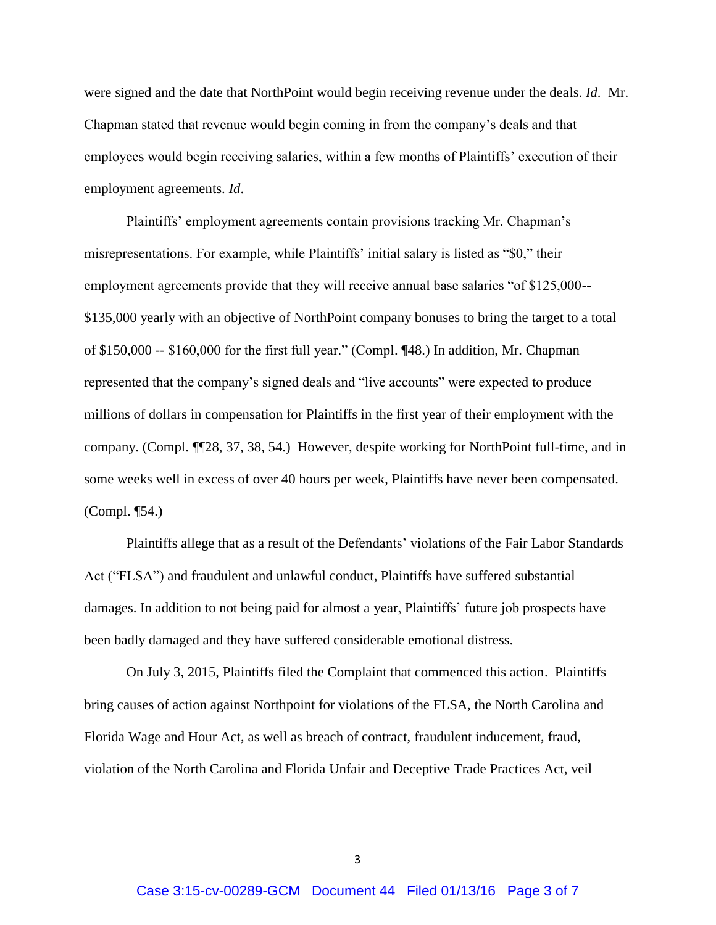were signed and the date that NorthPoint would begin receiving revenue under the deals. *Id*. Mr. Chapman stated that revenue would begin coming in from the company's deals and that employees would begin receiving salaries, within a few months of Plaintiffs' execution of their employment agreements. *Id*.

Plaintiffs' employment agreements contain provisions tracking Mr. Chapman's misrepresentations. For example, while Plaintiffs' initial salary is listed as "\$0," their employment agreements provide that they will receive annual base salaries "of \$125,000-- \$135,000 yearly with an objective of NorthPoint company bonuses to bring the target to a total of \$150,000 -- \$160,000 for the first full year." (Compl. ¶48.) In addition, Mr. Chapman represented that the company's signed deals and "live accounts" were expected to produce millions of dollars in compensation for Plaintiffs in the first year of their employment with the company. (Compl. ¶¶28, 37, 38, 54.) However, despite working for NorthPoint full-time, and in some weeks well in excess of over 40 hours per week, Plaintiffs have never been compensated. (Compl. ¶54.)

Plaintiffs allege that as a result of the Defendants' violations of the Fair Labor Standards Act ("FLSA") and fraudulent and unlawful conduct, Plaintiffs have suffered substantial damages. In addition to not being paid for almost a year, Plaintiffs' future job prospects have been badly damaged and they have suffered considerable emotional distress.

On July 3, 2015, Plaintiffs filed the Complaint that commenced this action. Plaintiffs bring causes of action against Northpoint for violations of the FLSA, the North Carolina and Florida Wage and Hour Act, as well as breach of contract, fraudulent inducement, fraud, violation of the North Carolina and Florida Unfair and Deceptive Trade Practices Act, veil

3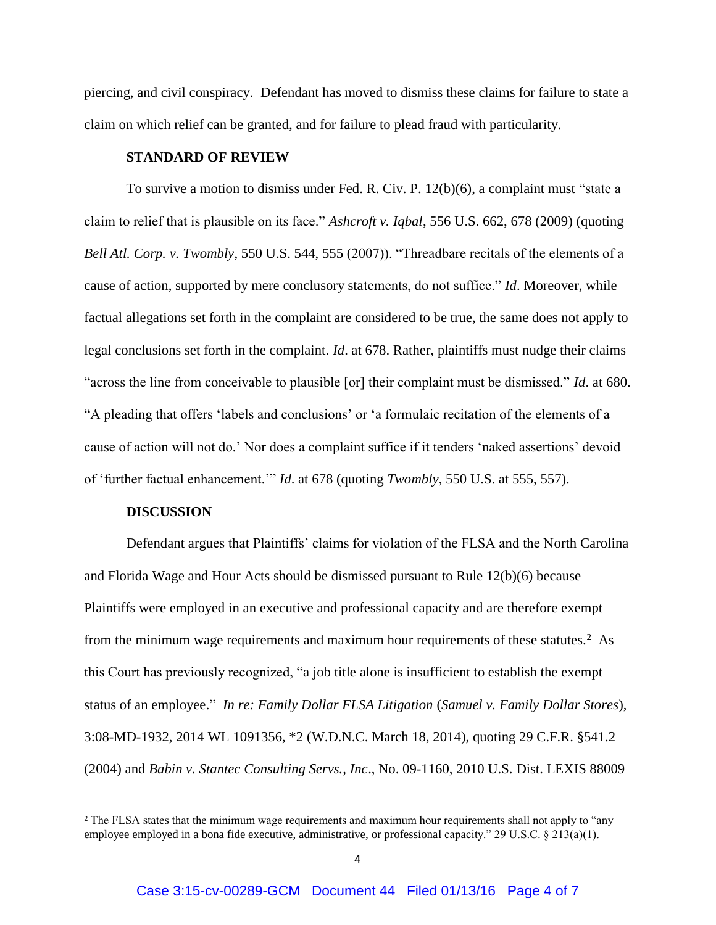piercing, and civil conspiracy. Defendant has moved to dismiss these claims for failure to state a claim on which relief can be granted, and for failure to plead fraud with particularity.

## **STANDARD OF REVIEW**

To survive a motion to dismiss under Fed. R. Civ. P. 12(b)(6), a complaint must "state a claim to relief that is plausible on its face." *Ashcroft v. Iqbal*, 556 U.S. 662, 678 (2009) (quoting *Bell Atl. Corp. v. Twombly*, 550 U.S. 544, 555 (2007)). "Threadbare recitals of the elements of a cause of action, supported by mere conclusory statements, do not suffice." *Id*. Moreover, while factual allegations set forth in the complaint are considered to be true, the same does not apply to legal conclusions set forth in the complaint. *Id*. at 678. Rather, plaintiffs must nudge their claims "across the line from conceivable to plausible [or] their complaint must be dismissed." *Id*. at 680. "A pleading that offers 'labels and conclusions' or 'a formulaic recitation of the elements of a cause of action will not do.' Nor does a complaint suffice if it tenders 'naked assertions' devoid of 'further factual enhancement.'" *Id*. at 678 (quoting *Twombly*, 550 U.S. at 555, 557).

## **DISCUSSION**

l

Defendant argues that Plaintiffs' claims for violation of the FLSA and the North Carolina and Florida Wage and Hour Acts should be dismissed pursuant to Rule 12(b)(6) because Plaintiffs were employed in an executive and professional capacity and are therefore exempt from the minimum wage requirements and maximum hour requirements of these statutes.<sup>2</sup> As this Court has previously recognized, "a job title alone is insufficient to establish the exempt status of an employee." *In re: Family Dollar FLSA Litigation* (*Samuel v. Family Dollar Stores*), 3:08-MD-1932, 2014 WL 1091356, \*2 (W.D.N.C. March 18, 2014), quoting 29 C.F.R. §541.2 (2004) and *Babin v. Stantec Consulting Servs., Inc*., No. 09-1160, 2010 U.S. Dist. LEXIS 88009

<sup>&</sup>lt;sup>2</sup> The FLSA states that the minimum wage requirements and maximum hour requirements shall not apply to "any" employee employed in a bona fide executive, administrative, or professional capacity." 29 U.S.C. § 213(a)(1).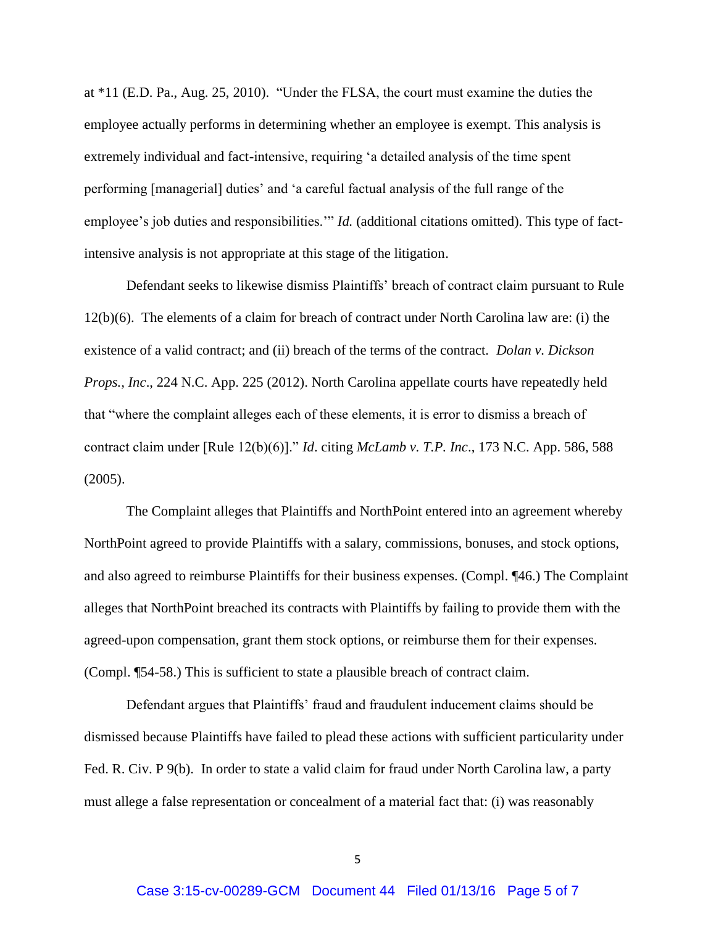at \*11 (E.D. Pa., Aug. 25, 2010). "Under the FLSA, the court must examine the duties the employee actually performs in determining whether an employee is exempt. This analysis is extremely individual and fact-intensive, requiring 'a detailed analysis of the time spent performing [managerial] duties' and 'a careful factual analysis of the full range of the employee's job duties and responsibilities." *Id.* (additional citations omitted). This type of factintensive analysis is not appropriate at this stage of the litigation.

Defendant seeks to likewise dismiss Plaintiffs' breach of contract claim pursuant to Rule 12(b)(6). The elements of a claim for breach of contract under North Carolina law are: (i) the existence of a valid contract; and (ii) breach of the terms of the contract. *Dolan v. Dickson Props., Inc*., 224 N.C. App. 225 (2012). North Carolina appellate courts have repeatedly held that "where the complaint alleges each of these elements, it is error to dismiss a breach of contract claim under [Rule 12(b)(6)]." *Id*. citing *McLamb v. T.P. Inc*., 173 N.C. App. 586, 588 (2005).

The Complaint alleges that Plaintiffs and NorthPoint entered into an agreement whereby NorthPoint agreed to provide Plaintiffs with a salary, commissions, bonuses, and stock options, and also agreed to reimburse Plaintiffs for their business expenses. (Compl. ¶46.) The Complaint alleges that NorthPoint breached its contracts with Plaintiffs by failing to provide them with the agreed-upon compensation, grant them stock options, or reimburse them for their expenses. (Compl. ¶54-58.) This is sufficient to state a plausible breach of contract claim.

Defendant argues that Plaintiffs' fraud and fraudulent inducement claims should be dismissed because Plaintiffs have failed to plead these actions with sufficient particularity under Fed. R. Civ. P 9(b). In order to state a valid claim for fraud under North Carolina law, a party must allege a false representation or concealment of a material fact that: (i) was reasonably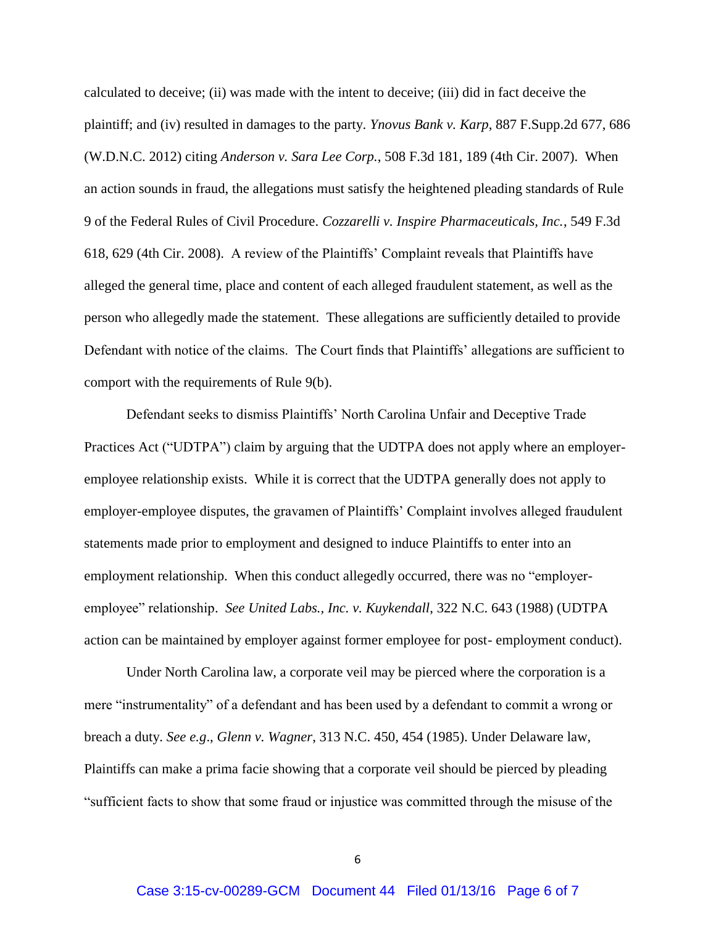calculated to deceive; (ii) was made with the intent to deceive; (iii) did in fact deceive the plaintiff; and (iv) resulted in damages to the party. *Ynovus Bank v. Karp*, 887 F.Supp.2d 677, 686 (W.D.N.C. 2012) citing *Anderson v. Sara Lee Corp.*, 508 F.3d 181, 189 (4th Cir. 2007). When an action sounds in fraud, the allegations must satisfy the heightened pleading standards of Rule 9 of the Federal Rules of Civil Procedure. *Cozzarelli v. Inspire Pharmaceuticals, Inc.*, 549 F.3d 618, 629 (4th Cir. 2008). A review of the Plaintiffs' Complaint reveals that Plaintiffs have alleged the general time, place and content of each alleged fraudulent statement, as well as the person who allegedly made the statement. These allegations are sufficiently detailed to provide Defendant with notice of the claims. The Court finds that Plaintiffs' allegations are sufficient to comport with the requirements of Rule 9(b).

Defendant seeks to dismiss Plaintiffs' North Carolina Unfair and Deceptive Trade Practices Act ("UDTPA") claim by arguing that the UDTPA does not apply where an employeremployee relationship exists. While it is correct that the UDTPA generally does not apply to employer-employee disputes, the gravamen of Plaintiffs' Complaint involves alleged fraudulent statements made prior to employment and designed to induce Plaintiffs to enter into an employment relationship. When this conduct allegedly occurred, there was no "employeremployee" relationship. *See United Labs., Inc. v. Kuykendall*, 322 N.C. 643 (1988) (UDTPA action can be maintained by employer against former employee for post- employment conduct).

Under North Carolina law, a corporate veil may be pierced where the corporation is a mere "instrumentality" of a defendant and has been used by a defendant to commit a wrong or breach a duty. *See e.g*., *Glenn v. Wagner*, 313 N.C. 450, 454 (1985). Under Delaware law, Plaintiffs can make a prima facie showing that a corporate veil should be pierced by pleading "sufficient facts to show that some fraud or injustice was committed through the misuse of the